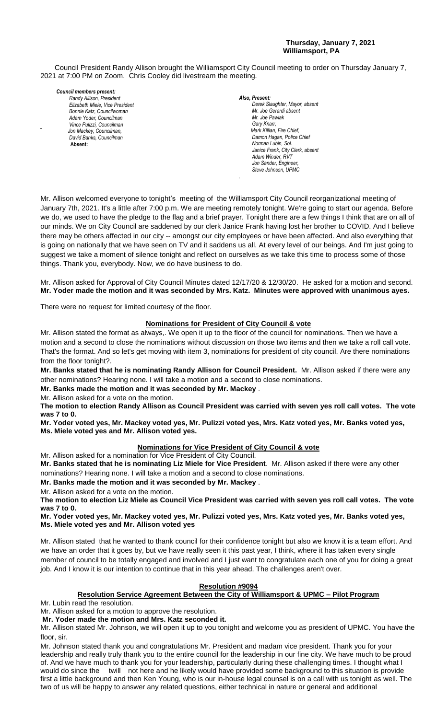#### **Thursday, January 7, 2021 Williamsport, PA**

Council President Randy Allison brought the Williamsport City Council meeting to order on Thursday January 7, 2021 at 7:00 PM on Zoom. Chris Cooley did livestream the meeting.

#### *Council members present: Randy Allison, President , President*

*Elizabeth Miele, Vice President Bill Hall, Councilman Bonnie Katz, Councilwoman Adam Yoder, Councilman Vince Pulizzi, Councilman Jon Mackey, Councilman, David Banks, Councilman*  **Absent:** 

#### *Also, Present:*

*Derek Slaughter, Mayor, absent Mr. William Nichols, Jr. Mr. Joe Gerardi absent Mr. Joseph Pawlak Mr. Joe Pawlak Gary Knarr, Mark Killian, Fire Chief,* **Damon Hagan, Police Chief** *Norman Lubin, Sol. Janice Frank, City Clerk, absent* Adam Winder, RVT *Jon Sander, Engineer, Steve Johnson, UPMC*

Mr. Allison welcomed everyone to tonight's meeting of the Williamsport City Council reorganizational meeting of January 7th, 2021. It's a little after 7:00 p.m. We are meeting remotely tonight. We're going to start our agenda. Before we do, we used to have the pledge to the flag and a brief prayer. Tonight there are a few things I think that are on all of our minds. We on City Council are saddened by our clerk Janice Frank having lost her brother to COVID. And I believe *Mr. Joseph Pawlak*  there may be others affected in our city -- amongst our city employees or have been affected. And also everything that is going on nationally that we have seen on TV and it saddens us all. At every level of our beings. And I'm just going to *.*  suggest we take a moment of silence tonight and reflect on ourselves as we take this time to process some of those  *Mr. Gary Knarr*  things. Thank you, everybody. Now, we do have business to do. *Mr. John Hallonary that we have seen on TV and it saudens us all. At every* 

*.*

Mr. Allison asked for Approval of City Council Minutes dated 12/17/20 & 12/30/20. He asked for a motion and second. Mr. Yoder made the motion and it was seconded by Mrs. Katz. Minutes were approved with unanimous ayes.

There were no request for limited courtesy of the floor.

## **Nominations for President of City Council & vote**

Mr. Allison stated the format as always,. We open it up to the floor of the council for nominations. Then we have a motion and a second to close the nominations without discussion on those two items and then we take a roll call vote. *Members of News Media* motion and a second to close the nominations with deal diseaseled by the temperation we have a remove the news.<br>That's the format. And so let's get moving with item 3, nominations for president of city council. Are there n from the floor tonight?.

**Mr. Banks stated that he is nominating Randy Allison for Council President.** Mr. Allison asked if there were any other nominations? Hearing none. I will take a motion and a second to close nominations.

**Mr. Banks made the motion and it was seconded by Mr. Mackey** .

Mr. Allison asked for a vote on the motion.

**The motion to election Randy Allison as Council President was carried with seven yes roll call votes. The vote was 7 to 0.**

**Mr. Yoder voted yes, Mr. Mackey voted yes, Mr. Pulizzi voted yes, Mrs. Katz voted yes, Mr. Banks voted yes, Ms. Miele voted yes and Mr. Allison voted yes.**

# **Nominations for Vice President of City Council & vote**

Mr. Allison asked for a nomination for Vice President of City Council. **Mr. Banks stated that he is nominating Liz Miele for Vice President**. Mr. Allison asked if there were any other nominations? Hearing none. I will take a motion and a second to close nominations.

**Mr. Banks made the motion and it was seconded by Mr. Mackey** .

Mr. Allison asked for a vote on the motion.

**The motion to election Liz Miele as Council Vice President was carried with seven yes roll call votes. The vote was 7 to 0.**

**Mr. Yoder voted yes, Mr. Mackey voted yes, Mr. Pulizzi voted yes, Mrs. Katz voted yes, Mr. Banks voted yes, Ms. Miele voted yes and Mr. Allison voted yes**

Mr. Allison stated that he wanted to thank council for their confidence tonight but also we know it is a team effort. And we have an order that it goes by, but we have really seen it this past year, I think, where it has taken every single member of council to be totally engaged and involved and I just want to congratulate each one of you for doing a great job. And I know it is our intention to continue that in this year ahead. The challenges aren't over.

# **Resolution #9094**

# **Resolution Service Agreement Between the City of Williamsport & UPMC – Pilot Program**

Mr. Lubin read the resolution.

Mr. Allison asked for a motion to approve the resolution.

**Mr. Yoder made the motion and Mrs. Katz seconded it.**

Mr. Allison stated Mr. Johnson, we will open it up to you tonight and welcome you as president of UPMC. You have the floor, sir.

Mr. Johnson stated thank you and congratulations Mr. President and madam vice president. Thank you for your leadership and really truly thank you to the entire council for the leadership in our fine city. We have much to be proud of. And we have much to thank you for your leadership, particularly during these challenging times. I thought what I would do since the twill not here and he likely would have provided some background to this situation is provide first a little background and then Ken Young, who is our in-house legal counsel is on a call with us tonight as well. The two of us will be happy to answer any related questions, either technical in nature or general and additional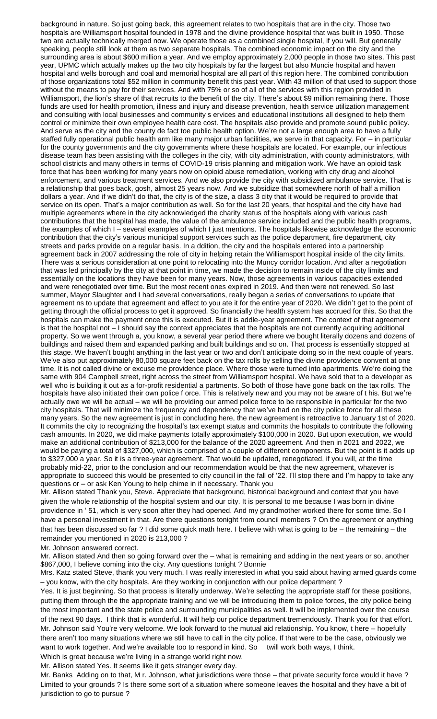background in nature. So just going back, this agreement relates to two hospitals that are in the city. Those two hospitals are Williamsport hospital founded in 1978 and the divine providence hospital that was built in 1950. Those two are actually technically merged now. We operate those as a combined single hospital, if you will. But generally speaking, people still look at them as two separate hospitals. The combined economic impact on the city and the surrounding area is about \$600 million a year. And we employ approximately 2,000 people in those two sites. This past year, UPMC which actually makes up the two city hospitals by far the largest but also Muncie hospital and haven hospital and wells borough and coal and memorial hospital are all part of this region here. The combined contribution of those organizations total \$52 million in community benefit this past year. With 43 million of that used to support those without the means to pay for their services. And with 75% or so of all of the services with this region provided in Williamsport, the lion's share of that recruits to the benefit of the city. There's about \$9 million remaining there. Those funds are used for health promotion, illness and injury and disease prevention, health service utilization management and consulting with local businesses and community s ervices and educational institutions all designed to help them control or minimize their own employee health care cost. The hospitals also provide and promote sound public policy. And serve as the city and the county de fact toe public health option. We're not a large enough area to have a fully staffed fully operational public health arm like many major urban facilities, we serve in that capacity. For – in particular for the county governments and the city governments where these hospitals are located. For example, our infectious disease team has been assisting with the colleges in the city, with city administration, with county administrators, with school districts and many others in terms of COVID-19 crisis planning and mitigation work. We have an opioid task force that has been working for many years now on opioid abuse remediation, working with city drug and alcohol enforcement, and various treatment services. And we also provide the city with subsidized ambulance service. That is a relationship that goes back, gosh, almost 25 years now. And we subsidize that somewhere north of half a million dollars a year. And if we didn't do that, the city is of the size, a class 3 city that it would be required to provide that service on its open. That's a major contribution as well. So for the last 20 years, that hospital and the city have had multiple agreements where in the city acknowledged the charity status of the hospitals along with various cash contributions that the hospital has made, the value of the ambulance service included and the public health programs, the examples of which I – several examples of which I just mentions. The hospitals likewise acknowledge the economic contribution that the city's various municipal support services such as the police department, fire department, city streets and parks provide on a regular basis. In a ddition, the city and the hospitals entered into a partnership agreement back in 2007 addressing the role of city in helping retain the Williamsport hospital inside of the city limits. There was a serious consideration at one point to relocating into the Muncy corridor location. And after a negotiation that was led principally by the city at that point in time, we made the decision to remain inside of the city limits and essentially on the locations they have been for many years. Now, those agreements in various capacities extended and were renegotiated over time. But the most recent ones expired in 2019. And then were not renewed. So last summer, Mayor Slaughter and I had several conversations, really began a series of conversations to update that agreement ns to update that agreement and affect to you ate it for the entire year of 2020. We didn't get to the point of getting through the official process to get it approved. So financially the health system has accrued for this. So that the hospitals can make the payment once this is executed. But it is addle-year agreement. The context of that agreement is that the hospital not – I should say the context appreciates that the hospitals are not currently acquiring additional property. So we went through a, you know, a several year period there where we bought literally dozens and dozens of buildings and raised them and expanded parking and built buildings and so on. That process is essentially stopped at this stage. We haven't bought anything in the last year or two and don't anticipate doing so in the next couple of years. We've also put approximately 80,000 square feet back on the tax rolls by selling the divine providence convent at one time. It is not called divine or excuse me providence place. Where those were turned into apartments. We're doing the same with 904 Campbell street, right across the street from Williamsport hospital. We have sold that to a developer as well who is building it out as a for-profit residential a partments. So both of those have gone back on the tax rolls. The hospitals have also initiated their own police f orce. This is relatively new and you may not be aware of t his. But we're actually owe we will be actual – we will be providing our armed police force to be responsible in particular for the two city hospitals. That will minimize the frequency and dependency that we've had on the city police force for all these many years. So the new agreement is just in concluding here, the new agreement is retroactive to January 1st of 2020. It commits the city to recognizing the hospital's tax exempt status and commits the hospitals to contribute the following cash amounts. In 2020, we did make payments totally approximately \$100,000 in 2020. But upon execution, we would make an additional contribution of \$213,000 for the balance of the 2020 agreement. And then in 2021 and 2022, we would be paying a total of \$327,000, which is comprised of a couple of different components. But the point is it adds up to \$327,000 a year. So it is a three-year agreement. That would be updated, renegotiated, if you will, at the time probably mid-22, prior to the conclusion and our recommendation would be that the new agreement, whatever is appropriate to succeed this would be presented to city council in the fall of '22. I'll stop there and I'm happy to take any questions or – or ask Ken Young to help chime in if necessary. Thank you

Mr. Allison stated Thank you, Steve. Appreciate that background, historical background and context that you have given the whole relationship of the hospital system and our city. It is personal to me because I was born in divine providence in ' 51, which is very soon after they had opened. And my grandmother worked there for some time. So I have a personal investment in that. Are there questions tonight from council members ? On the agreement or anything that has been discussed so far ? I did some quick math here. I believe with what is going to be – the remaining – the remainder you mentioned in 2020 is 213,000 ?

Mr. Johnson answered correct.

Mr. Allison stated And then so going forward over the – what is remaining and adding in the next years or so, another \$867,000, I believe coming into the city. Any questions tonight ? Bonnie

Mrs. Katz stated Steve, thank you very much. I was really interested in what you said about having armed guards come – you know, with the city hospitals. Are they working in conjunction with our police department ?

Yes. It is just beginning. So that process is literally underway. We're selecting the appropriate staff for these positions, putting them through the the appropriate training and we will be introducing them to police forces, the city police being the most important and the state police and surrounding municipalities as well. It will be implemented over the course of the next 90 days. I think that is wonderful. It will help our police department tremendously. Thank you for that effort. Mr. Johnson said You're very welcome. We look forward to the mutual aid relationship. You know, t here – hopefully there aren't too many situations where we still have to call in the city police. If that were to be the case, obviously we want to work together. And we're available too to respond in kind. So twill work both ways, I think.

Which is great because we're living in a strange world right now.

Mr. Allison stated Yes. It seems like it gets stranger every day.

Mr. Banks Adding on to that, M r. Johnson, what jurisdictions were those – that private security force would it have ? Limited to your grounds ? Is there some sort of a situation where someone leaves the hospital and they have a bit of jurisdiction to go to pursue ?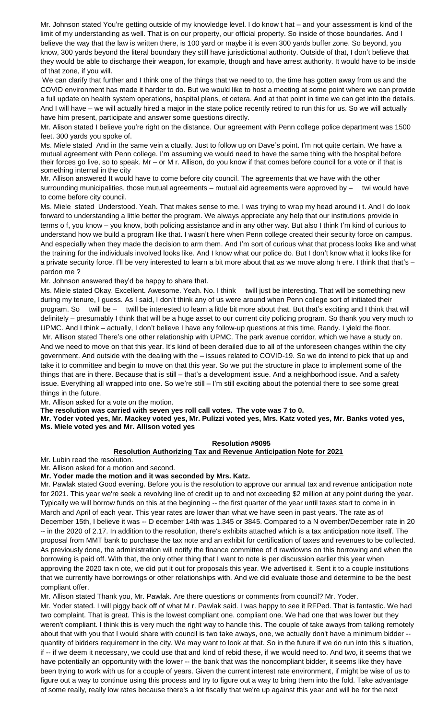Mr. Johnson stated You're getting outside of my knowledge level. I do know t hat – and your assessment is kind of the limit of my understanding as well. That is on our property, our official property. So inside of those boundaries. And I believe the way that the law is written there, is 100 yard or maybe it is even 300 yards buffer zone. So beyond, you know, 300 yards beyond the literal boundary they still have jurisdictional authority. Outside of that, I don't believe that they would be able to discharge their weapon, for example, though and have arrest authority. It would have to be inside of that zone, if you will.

We can clarify that further and I think one of the things that we need to to, the time has gotten away from us and the COVID environment has made it harder to do. But we would like to host a meeting at some point where we can provide a full update on health system operations, hospital plans, et cetera. And at that point in time we can get into the details. And I will have – we will actually hired a major in the state police recently retired to run this for us. So we will actually have him present, participate and answer some questions directly.

Mr. Alison stated I believe you're right on the distance. Our agreement with Penn college police department was 1500 feet. 300 yards you spoke of.

Ms. Miele stated And in the same vein a ctually. Just to follow up on Dave's point. I'm not quite certain. We have a mutual agreement with Penn college. I'm assuming we would need to have the same thing with the hospital before their forces go live, so to speak. Mr – or M r. Allison, do you know if that comes before council for a vote or if that is something internal in the city

Mr. Allison answered It would have to come before city council. The agreements that we have with the other surrounding municipalities, those mutual agreements – mutual aid agreements were approved by – twi would have to come before city council.

Ms. Miele stated Understood. Yeah. That makes sense to me. I was trying to wrap my head around i t. And I do look forward to understanding a little better the program. We always appreciate any help that our institutions provide in terms o f, you know – you know, both policing assistance and in any other way. But also I think I'm kind of curious to understand how we build a program like that. I wasn't here when Penn college created their security force on campus. And especially when they made the decision to arm them. And I'm sort of curious what that process looks like and what the training for the individuals involved looks like. And I know what our police do. But I don't know what it looks like for a private security force. I'll be very interested to learn a bit more about that as we move along h ere. I think that that's – pardon me ?

Mr. Johnson answered they'd be happy to share that.

Ms. Miele stated Okay. Excellent. Awesome. Yeah. No. I think twill just be interesting. That will be something new during my tenure, I guess. As I said, I don't think any of us were around when Penn college sort of initiated their program. So twill be – twill be interested to learn a little bit more about that. But that's exciting and I think that will definitely – presumably I think that will be a huge asset to our current city policing program. So thank you very much to UPMC. And I think – actually, I don't believe I have any follow-up questions at this time, Randy. I yield the floor. Mr. Allison stated There's one other relationship with UPMC. The park avenue corridor, which we have a study on. And we need to move on that this year. It's kind of been derailed due to all of the unforeseen changes within the city government. And outside with the dealing with the – issues related to COVID-19. So we do intend to pick that up and take it to committee and begin to move on that this year. So we put the structure in place to implement some of the things that are in there. Because that is still – that's a development issue. And a neighborhood issue. And a safety issue. Everything all wrapped into one. So we're still – I'm still exciting about the potential there to see some great things in the future.

Mr. Allison asked for a vote on the motion.

**The resolution was carried with seven yes roll call votes. The vote was 7 to 0.**

**Mr. Yoder voted yes, Mr. Mackey voted yes, Mr. Pulizzi voted yes, Mrs. Katz voted yes, Mr. Banks voted yes, Ms. Miele voted yes and Mr. Allison voted yes**

### **Resolution #9095**

#### **Resolution Authorizing Tax and Revenue Anticipation Note for 2021**

Mr. Lubin read the resolution. Mr. Allison asked for a motion and second.

**Mr. Yoder made the motion and it was seconded by Mrs. Katz.**

Mr. Pawlak stated Good evening. Before you is the resolution to approve our annual tax and revenue anticipation note for 2021. This year we're seek a revolving line of credit up to and not exceeding \$2 million at any point during the year. Typically we will borrow funds on this at the beginning -- the first quarter of the year until taxes start to come in in March and April of each year. This year rates are lower than what we have seen in past years. The rate as of December 15th, I believe it was -- D ecember 14th was 1.345 or 3845. Compared to a N ovember/December rate in 20 -- in the 2020 of 2.17. In addition to the resolution, there's exhibits attached which is a tax anticipation note itself. The proposal from MMT bank to purchase the tax note and an exhibit for certification of taxes and revenues to be collected. As previously done, the administration will notify the finance committee of d rawdowns on this borrowing and when the borrowing is paid off. With that, the only other thing that I want to note is per discussion earlier this year when approving the 2020 tax n ote, we did put it out for proposals this year. We advertised it. Sent it to a couple institutions that we currently have borrowings or other relationships with. And we did evaluate those and determine to be the best compliant offer.

Mr. Allison stated Thank you, Mr. Pawlak. Are there questions or comments from council? Mr. Yoder.

Mr. Yoder stated. I will piggy back off of what M r. Pawlak said. I was happy to see it RFPed. That is fantastic. We had two complaint. That is great. This is the lowest compliant one. compliant one. We had one that was lower but they weren't compliant. I think this is very much the right way to handle this. The couple of take aways from talking remotely about that with you that I would share with council is two take aways, one, we actually don't have a minimum bidder - quantity of bidders requirement in the city. We may want to look at that. So in the future if we do run into this s ituation, if -- if we deem it necessary, we could use that and kind of rebid these, if we would need to. And two, it seems that we have potentially an opportunity with the lower -- the bank that was the noncompliant bidder, it seems like they have been trying to work with us for a couple of years. Given the current interest rate environment, if might be wise of us to figure out a way to continue using this process and try to figure out a way to bring them into the fold. Take advantage of some really, really low rates because there's a lot fiscally that we're up against this year and will be for the next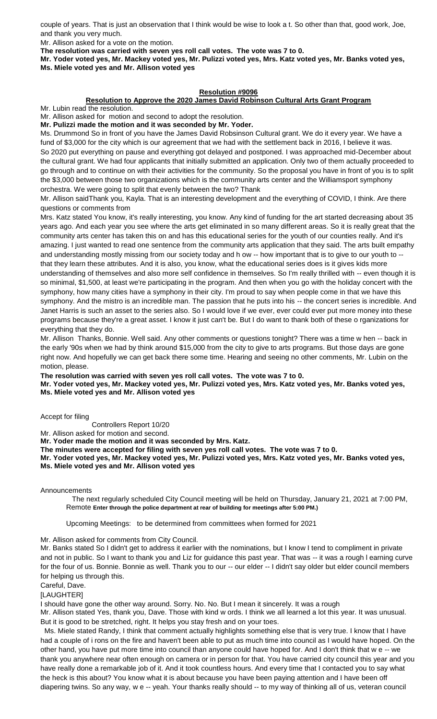couple of years. That is just an observation that I think would be wise to look a t. So other than that, good work, Joe, and thank you very much.

Mr. Allison asked for a vote on the motion.

**The resolution was carried with seven yes roll call votes. The vote was 7 to 0.**

**Mr. Yoder voted yes, Mr. Mackey voted yes, Mr. Pulizzi voted yes, Mrs. Katz voted yes, Mr. Banks voted yes, Ms. Miele voted yes and Mr. Allison voted yes**

## **Resolution #9096**

## **Resolution to Approve the 2020 James David Robinson Cultural Arts Grant Program**

Mr. Lubin read the resolution.

Mr. Allison asked for motion and second to adopt the resolution.

**Mr. Pulizzi made the motion and it was seconded by Mr. Yoder.** Ms. Drummond So in front of you have the James David Robsinson Cultural grant. We do it every year. We have a fund of \$3,000 for the city which is our agreement that we had with the settlement back in 2016, I believe it was. So 2020 put everything on pause and everything got delayed and postponed. I was approached mid-December about the cultural grant. We had four applicants that initially submitted an application. Only two of them actually proceeded to

go through and to continue on with their activities for the community. So the proposal you have in front of you is to split the \$3,000 between those two organizations which is the community arts center and the Williamsport symphony orchestra. We were going to split that evenly between the two? Thank

Mr. Allison saidThank you, Kayla. That is an interesting development and the everything of COVID, I think. Are there questions or comments from

Mrs. Katz stated You know, it's really interesting, you know. Any kind of funding for the art started decreasing about 35 years ago. And each year you see where the arts get eliminated in so many different areas. So it is really great that the community arts center has taken this on and has this educational series for the youth of our counties really. And it's amazing. I just wanted to read one sentence from the community arts application that they said. The arts built empathy and understanding mostly missing from our society today and h ow -- how important that is to give to our youth to - that they learn these attributes. And it is also, you know, what the educational series does is it gives kids more understanding of themselves and also more self confidence in themselves. So I'm really thrilled with -- even though it is so minimal, \$1,500, at least we're participating in the program. And then when you go with the holiday concert with the symphony, how many cities have a symphony in their city. I'm proud to say when people come in that we have this symphony. And the mistro is an incredible man. The passion that he puts into his -- the concert series is incredible. And Janet Harris is such an asset to the series also. So I would love if we ever, ever could ever put more money into these programs because they're a great asset. I know it just can't be. But I do want to thank both of these o rganizations for everything that they do.

Mr. Allison Thanks, Bonnie. Well said. Any other comments or questions tonight? There was a time w hen -- back in the early '90s when we had by think around \$15,000 from the city to give to arts programs. But those days are gone right now. And hopefully we can get back there some time. Hearing and seeing no other comments, Mr. Lubin on the motion, please.

**The resolution was carried with seven yes roll call votes. The vote was 7 to 0.**

**Mr. Yoder voted yes, Mr. Mackey voted yes, Mr. Pulizzi voted yes, Mrs. Katz voted yes, Mr. Banks voted yes, Ms. Miele voted yes and Mr. Allison voted yes**

Accept for filing

Controllers Report 10/20

Mr. Allison asked for motion and second.

**Mr. Yoder made the motion and it was seconded by Mrs. Katz.**

**The minutes were accepted for filing with seven yes roll call votes. The vote was 7 to 0.**

**Mr. Yoder voted yes, Mr. Mackey voted yes, Mr. Pulizzi voted yes, Mrs. Katz voted yes, Mr. Banks voted yes, Ms. Miele voted yes and Mr. Allison voted yes**

Announcements

 The next regularly scheduled City Council meeting will be held on Thursday, January 21, 2021 at 7:00 PM, Remote **Enter through the police department at rear of building for meetings after 5:00 PM.)**

Upcoming Meetings: to be determined from committees when formed for 2021

Mr. Allison asked for comments from City Council.

Mr. Banks stated So I didn't get to address it earlier with the nominations, but I know I tend to compliment in private and not in public. So I want to thank you and Liz for guidance this past year. That was -- it was a rough l earning curve for the four of us. Bonnie. Bonnie as well. Thank you to our -- our elder -- I didn't say older but elder council members for helping us through this.

Careful, Dave.

[LAUGHTER]

I should have gone the other way around. Sorry. No. No. But I mean it sincerely. It was a rough

Mr. Allison stated Yes, thank you, Dave. Those with kind w ords. I think we all learned a lot this year. It was unusual. But it is good to be stretched, right. It helps you stay fresh and on your toes.

 Ms. Miele stated Randy, I think that comment actually highlights something else that is very true. I know that I have had a couple of i rons on the fire and haven't been able to put as much time into council as I would have hoped. On the other hand, you have put more time into council than anyone could have hoped for. And I don't think that w e -- we thank you anywhere near often enough on camera or in person for that. You have carried city council this year and you have really done a remarkable job of it. And it took countless hours. And every time that I contacted you to say what the heck is this about? You know what it is about because you have been paying attention and I have been off diapering twins. So any way, w e -- yeah. Your thanks really should -- to my way of thinking all of us, veteran council